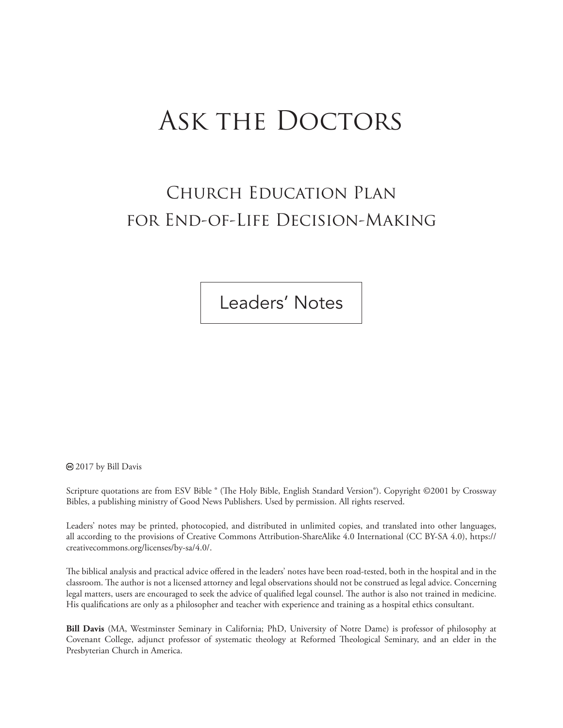# Ask the Doctors

# Church Education Plan for End-of-Life Decision-Making

Leaders' Notes

<sup>o</sup> 2017 by Bill Davis

Scripture quotations are from ESV Bible ® (The Holy Bible, English Standard Version®). Copyright ©2001 by Crossway Bibles, a publishing ministry of Good News Publishers. Used by permission. All rights reserved.

Leaders' notes may be printed, photocopied, and distributed in unlimited copies, and translated into other languages, all according to the provisions of Creative Commons Attribution-ShareAlike 4.0 International (CC BY-SA 4.0), https:// creativecommons.org/licenses/by-sa/4.0/.

The biblical analysis and practical advice offered in the leaders' notes have been road-tested, both in the hospital and in the classroom. The author is not a licensed attorney and legal observations should not be construed as legal advice. Concerning legal matters, users are encouraged to seek the advice of qualified legal counsel. The author is also not trained in medicine. His qualifications are only as a philosopher and teacher with experience and training as a hospital ethics consultant.

**Bill Davis** (MA, Westminster Seminary in California; PhD, University of Notre Dame) is professor of philosophy at Covenant College, adjunct professor of systematic theology at Reformed Theological Seminary, and an elder in the Presbyterian Church in America.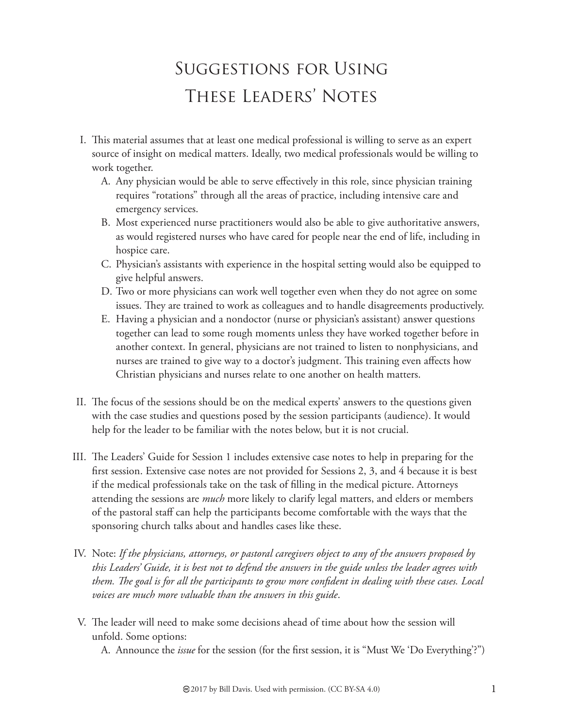# Suggestions for Using These Leaders' Notes

- I. This material assumes that at least one medical professional is willing to serve as an expert source of insight on medical matters. Ideally, two medical professionals would be willing to work together.
	- A. Any physician would be able to serve effectively in this role, since physician training requires "rotations" through all the areas of practice, including intensive care and emergency services.
	- B. Most experienced nurse practitioners would also be able to give authoritative answers, as would registered nurses who have cared for people near the end of life, including in hospice care.
	- C. Physician's assistants with experience in the hospital setting would also be equipped to give helpful answers.
	- D. Two or more physicians can work well together even when they do not agree on some issues. They are trained to work as colleagues and to handle disagreements productively.
	- E. Having a physician and a nondoctor (nurse or physician's assistant) answer questions together can lead to some rough moments unless they have worked together before in another context. In general, physicians are not trained to listen to nonphysicians, and nurses are trained to give way to a doctor's judgment. This training even affects how Christian physicians and nurses relate to one another on health matters.
- II. The focus of the sessions should be on the medical experts' answers to the questions given with the case studies and questions posed by the session participants (audience). It would help for the leader to be familiar with the notes below, but it is not crucial.
- III. The Leaders' Guide for Session 1 includes extensive case notes to help in preparing for the first session. Extensive case notes are not provided for Sessions 2, 3, and 4 because it is best if the medical professionals take on the task of filling in the medical picture. Attorneys attending the sessions are *much* more likely to clarify legal matters, and elders or members of the pastoral staff can help the participants become comfortable with the ways that the sponsoring church talks about and handles cases like these.
- IV. Note: *If the physicians, attorneys, or pastoral caregivers object to any of the answers proposed by this Leaders' Guide, it is best not to defend the answers in the guide unless the leader agrees with*  them. The goal is for all the participants to grow more confident in dealing with these cases. Local *voices are much more valuable than the answers in this guide*.
- V. The leader will need to make some decisions ahead of time about how the session will unfold. Some options:
	- A. Announce the *issue* for the session (for the first session, it is "Must We 'Do Everything'?")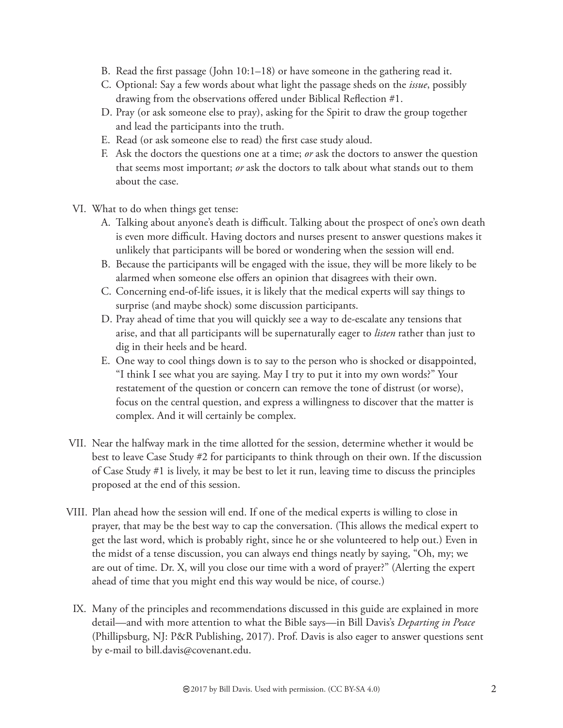- B. Read the first passage (John  $10:1-18$ ) or have someone in the gathering read it.
- C. Optional: Say a few words about what light the passage sheds on the *issue*, possibly drawing from the observations offered under Biblical Reflection #1.
- D. Pray (or ask someone else to pray), asking for the Spirit to draw the group together and lead the participants into the truth.
- E. Read (or ask someone else to read) the first case study aloud.
- F. Ask the doctors the questions one at a time; *or* ask the doctors to answer the question that seems most important; *or* ask the doctors to talk about what stands out to them about the case.
- VI. What to do when things get tense:
	- A. Talking about anyone's death is difficult. Talking about the prospect of one's own death is even more difficult. Having doctors and nurses present to answer questions makes it unlikely that participants will be bored or wondering when the session will end.
	- B. Because the participants will be engaged with the issue, they will be more likely to be alarmed when someone else offers an opinion that disagrees with their own.
	- C. Concerning end-of-life issues, it is likely that the medical experts will say things to surprise (and maybe shock) some discussion participants.
	- D. Pray ahead of time that you will quickly see a way to de-escalate any tensions that arise, and that all participants will be supernaturally eager to *listen* rather than just to dig in their heels and be heard.
	- E. One way to cool things down is to say to the person who is shocked or disappointed, "I think I see what you are saying. May I try to put it into my own words?" Your restatement of the question or concern can remove the tone of distrust (or worse), focus on the central question, and express a willingness to discover that the matter is complex. And it will certainly be complex.
- VII. Near the halfway mark in the time allotted for the session, determine whether it would be best to leave Case Study #2 for participants to think through on their own. If the discussion of Case Study #1 is lively, it may be best to let it run, leaving time to discuss the principles proposed at the end of this session.
- VIII. Plan ahead how the session will end. If one of the medical experts is willing to close in prayer, that may be the best way to cap the conversation. (This allows the medical expert to get the last word, which is probably right, since he or she volunteered to help out.) Even in the midst of a tense discussion, you can always end things neatly by saying, "Oh, my; we are out of time. Dr. X, will you close our time with a word of prayer?" (Alerting the expert ahead of time that you might end this way would be nice, of course.)
	- IX. Many of the principles and recommendations discussed in this guide are explained in more detail—and with more attention to what the Bible says—in Bill Davis's *Departing in Peace* (Phillipsburg, NJ: P&R Publishing, 2017). Prof. Davis is also eager to answer questions sent by e-mail to bill.davis@covenant.edu.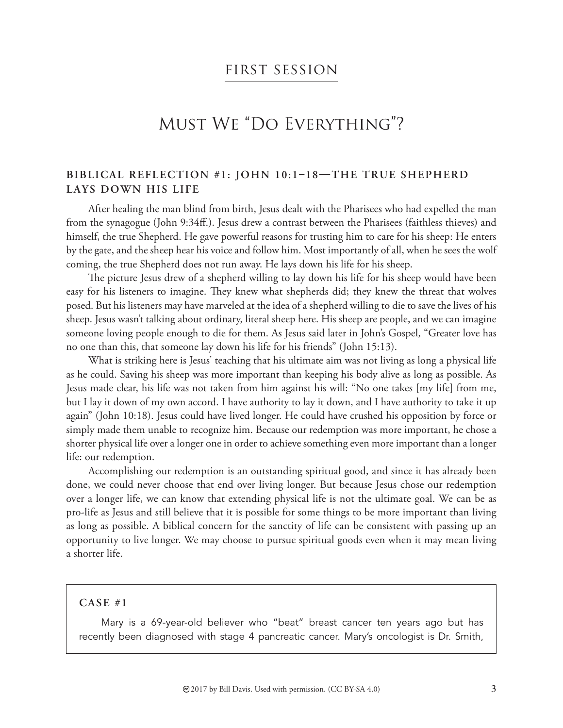### first session

## Must We "Do Everything"?

#### BIBLICAL REFLECTION #1: JOHN 10:1-18-THE TRUE SHEPHERD **LAYS DOWN HIS LIFE**

After healing the man blind from birth, Jesus dealt with the Pharisees who had expelled the man from the synagogue (John 9:34ff.). Jesus drew a contrast between the Pharisees (faithless thieves) and himself, the true Shepherd. He gave powerful reasons for trusting him to care for his sheep: He enters by the gate, and the sheep hear his voice and follow him. Most importantly of all, when he sees the wolf coming, the true Shepherd does not run away. He lays down his life for his sheep.

The picture Jesus drew of a shepherd willing to lay down his life for his sheep would have been easy for his listeners to imagine. They knew what shepherds did; they knew the threat that wolves posed. But his listeners may have marveled at the idea of a shepherd willing to die to save the lives of his sheep. Jesus wasn't talking about ordinary, literal sheep here. His sheep are people, and we can imagine someone loving people enough to die for them. As Jesus said later in John's Gospel, "Greater love has no one than this, that someone lay down his life for his friends" (John 15:13).

What is striking here is Jesus' teaching that his ultimate aim was not living as long a physical life as he could. Saving his sheep was more important than keeping his body alive as long as possible. As Jesus made clear, his life was not taken from him against his will: "No one takes [my life] from me, but I lay it down of my own accord. I have authority to lay it down, and I have authority to take it up again" (John 10:18). Jesus could have lived longer. He could have crushed his opposition by force or simply made them unable to recognize him. Because our redemption was more important, he chose a shorter physical life over a longer one in order to achieve something even more important than a longer life: our redemption.

Accomplishing our redemption is an outstanding spiritual good, and since it has already been done, we could never choose that end over living longer. But because Jesus chose our redemption over a longer life, we can know that extending physical life is not the ultimate goal. We can be as pro-life as Jesus and still believe that it is possible for some things to be more important than living as long as possible. A biblical concern for the sanctity of life can be consistent with passing up an opportunity to live longer. We may choose to pursue spiritual goods even when it may mean living a shorter life.

#### **CASE #1**

Mary is a 69-year-old believer who "beat" breast cancer ten years ago but has recently been diagnosed with stage 4 pancreatic cancer. Mary's oncologist is Dr. Smith,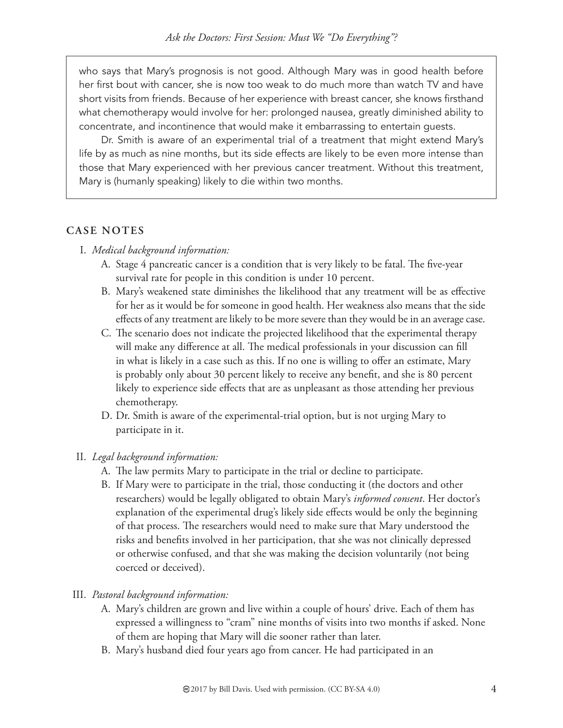who says that Mary's prognosis is not good. Although Mary was in good health before her first bout with cancer, she is now too weak to do much more than watch TV and have short visits from friends. Because of her experience with breast cancer, she knows firsthand what chemotherapy would involve for her: prolonged nausea, greatly diminished ability to concentrate, and incontinence that would make it embarrassing to entertain guests.

Dr. Smith is aware of an experimental trial of a treatment that might extend Mary's life by as much as nine months, but its side effects are likely to be even more intense than those that Mary experienced with her previous cancer treatment. Without this treatment, Mary is (humanly speaking) likely to die within two months.

#### **CASE NOTES**

- I. *Medical background information:*
	- A. Stage 4 pancreatic cancer is a condition that is very likely to be fatal. The five-year survival rate for people in this condition is under 10 percent.
	- B. Mary's weakened state diminishes the likelihood that any treatment will be as effective for her as it would be for someone in good health. Her weakness also means that the side effects of any treatment are likely to be more severe than they would be in an average case.
	- C. The scenario does not indicate the projected likelihood that the experimental therapy will make any difference at all. The medical professionals in your discussion can fill in what is likely in a case such as this. If no one is willing to offer an estimate, Mary is probably only about 30 percent likely to receive any benefit, and she is 80 percent likely to experience side effects that are as unpleasant as those attending her previous chemotherapy.
	- D. Dr. Smith is aware of the experimental-trial option, but is not urging Mary to participate in it.

#### II. *Legal background information:*

- A. The law permits Mary to participate in the trial or decline to participate.
- B. If Mary were to participate in the trial, those conducting it (the doctors and other researchers) would be legally obligated to obtain Mary's *informed consent*. Her doctor's explanation of the experimental drug's likely side effects would be only the beginning of that process. The researchers would need to make sure that Mary understood the risks and benefits involved in her participation, that she was not clinically depressed or otherwise confused, and that she was making the decision voluntarily (not being coerced or deceived).

#### III. *Pastoral background information:*

- A. Mary's children are grown and live within a couple of hours' drive. Each of them has expressed a willingness to "cram" nine months of visits into two months if asked. None of them are hoping that Mary will die sooner rather than later.
- B. Mary's husband died four years ago from cancer. He had participated in an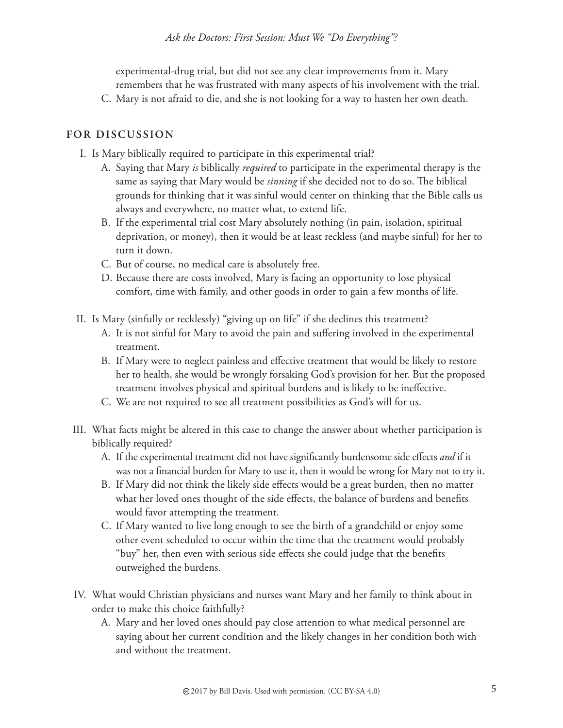experimental-drug trial, but did not see any clear improvements from it. Mary remembers that he was frustrated with many aspects of his involvement with the trial.

C. Mary is not afraid to die, and she is not looking for a way to hasten her own death.

- I. Is Mary biblically required to participate in this experimental trial?
	- A. Saying that Mary *is* biblically *required* to participate in the experimental therapy is the same as saying that Mary would be *sinning* if she decided not to do so. The biblical grounds for thinking that it was sinful would center on thinking that the Bible calls us always and everywhere, no matter what, to extend life.
	- B. If the experimental trial cost Mary absolutely nothing (in pain, isolation, spiritual deprivation, or money), then it would be at least reckless (and maybe sinful) for her to turn it down.
	- C. But of course, no medical care is absolutely free.
	- D. Because there are costs involved, Mary is facing an opportunity to lose physical comfort, time with family, and other goods in order to gain a few months of life.
- II. Is Mary (sinfully or recklessly) "giving up on life" if she declines this treatment?
	- A. It is not sinful for Mary to avoid the pain and suffering involved in the experimental treatment.
	- B. If Mary were to neglect painless and effective treatment that would be likely to restore her to health, she would be wrongly forsaking God's provision for her. But the proposed treatment involves physical and spiritual burdens and is likely to be ineffective.
	- C. We are not required to see all treatment possibilities as God's will for us.
- III. What facts might be altered in this case to change the answer about whether participation is biblically required?
	- A. If the experimental treatment did not have significantly burdensome side effects *and* if it was not a financial burden for Mary to use it, then it would be wrong for Mary not to try it.
	- B. If Mary did not think the likely side effects would be a great burden, then no matter what her loved ones thought of the side effects, the balance of burdens and benefits would favor attempting the treatment.
	- C. If Mary wanted to live long enough to see the birth of a grandchild or enjoy some other event scheduled to occur within the time that the treatment would probably "buy" her, then even with serious side effects she could judge that the benefits outweighed the burdens.
- IV. What would Christian physicians and nurses want Mary and her family to think about in order to make this choice faithfully?
	- A. Mary and her loved ones should pay close attention to what medical personnel are saying about her current condition and the likely changes in her condition both with and without the treatment.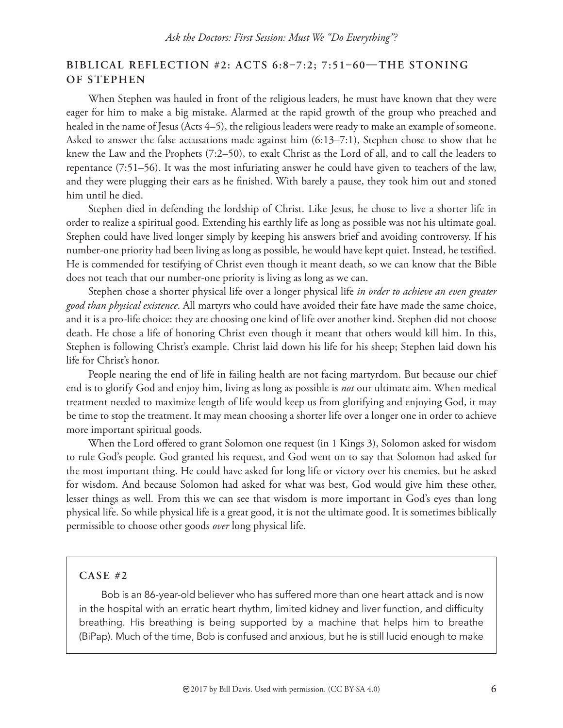#### BIBLICAL REFLECTION #2: ACTS 6:8-7:2; 7:51-60-THE STONING **OF STEPHEN**

When Stephen was hauled in front of the religious leaders, he must have known that they were eager for him to make a big mistake. Alarmed at the rapid growth of the group who preached and healed in the name of Jesus (Acts 4–5), the religious leaders were ready to make an example of someone. Asked to answer the false accusations made against him (6:13–7:1), Stephen chose to show that he knew the Law and the Prophets (7:2–50), to exalt Christ as the Lord of all, and to call the leaders to repentance (7:51–56). It was the most infuriating answer he could have given to teachers of the law, and they were plugging their ears as he finished. With barely a pause, they took him out and stoned him until he died.

Stephen died in defending the lordship of Christ. Like Jesus, he chose to live a shorter life in order to realize a spiritual good. Extending his earthly life as long as possible was not his ultimate goal. Stephen could have lived longer simply by keeping his answers brief and avoiding controversy. If his number-one priority had been living as long as possible, he would have kept quiet. Instead, he testified. He is commended for testifying of Christ even though it meant death, so we can know that the Bible does not teach that our number-one priority is living as long as we can.

Stephen chose a shorter physical life over a longer physical life *in order to achieve an even greater good than physical existence*. All martyrs who could have avoided their fate have made the same choice, and it is a pro-life choice: they are choosing one kind of life over another kind. Stephen did not choose death. He chose a life of honoring Christ even though it meant that others would kill him. In this, Stephen is following Christ's example. Christ laid down his life for his sheep; Stephen laid down his life for Christ's honor.

People nearing the end of life in failing health are not facing martyrdom. But because our chief end is to glorify God and enjoy him, living as long as possible is *not* our ultimate aim. When medical treatment needed to maximize length of life would keep us from glorifying and enjoying God, it may be time to stop the treatment. It may mean choosing a shorter life over a longer one in order to achieve more important spiritual goods.

When the Lord offered to grant Solomon one request (in 1 Kings 3), Solomon asked for wisdom to rule God's people. God granted his request, and God went on to say that Solomon had asked for the most important thing. He could have asked for long life or victory over his enemies, but he asked for wisdom. And because Solomon had asked for what was best, God would give him these other, lesser things as well. From this we can see that wisdom is more important in God's eyes than long physical life. So while physical life is a great good, it is not the ultimate good. It is sometimes biblically permissible to choose other goods *over* long physical life.

#### **CASE #2**

Bob is an 86-year-old believer who has suffered more than one heart attack and is now in the hospital with an erratic heart rhythm, limited kidney and liver function, and difficulty breathing. His breathing is being supported by a machine that helps him to breathe (BiPap). Much of the time, Bob is confused and anxious, but he is still lucid enough to make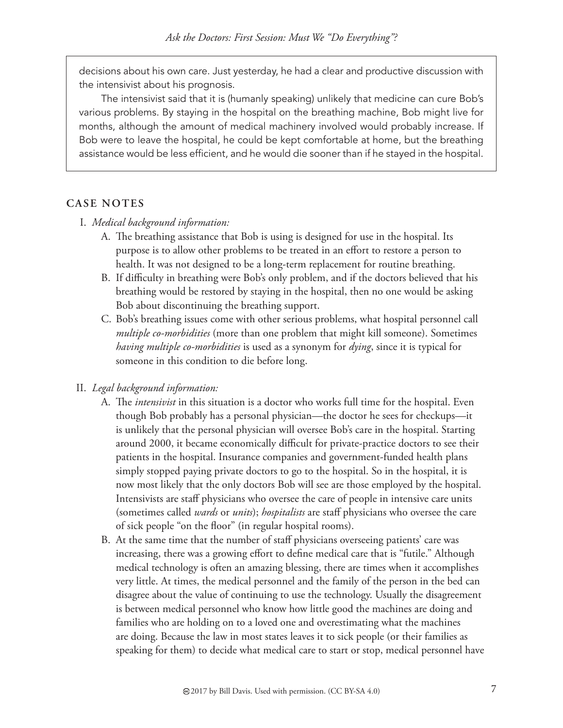decisions about his own care. Just yesterday, he had a clear and productive discussion with the intensivist about his prognosis.

The intensivist said that it is (humanly speaking) unlikely that medicine can cure Bob's various problems. By staying in the hospital on the breathing machine, Bob might live for months, although the amount of medical machinery involved would probably increase. If Bob were to leave the hospital, he could be kept comfortable at home, but the breathing assistance would be less efficient, and he would die sooner than if he stayed in the hospital.

#### **CASE NOTES**

- I. *Medical background information:*
	- A. The breathing assistance that Bob is using is designed for use in the hospital. Its purpose is to allow other problems to be treated in an effort to restore a person to health. It was not designed to be a long-term replacement for routine breathing.
	- B. If difficulty in breathing were Bob's only problem, and if the doctors believed that his breathing would be restored by staying in the hospital, then no one would be asking Bob about discontinuing the breathing support.
	- C. Bob's breathing issues come with other serious problems, what hospital personnel call *multiple co-morbidities* (more than one problem that might kill someone). Sometimes *having multiple co-morbidities* is used as a synonym for *dying*, since it is typical for someone in this condition to die before long.

#### II. *Legal background information:*

- A. The *intensivist* in this situation is a doctor who works full time for the hospital. Even though Bob probably has a personal physician—the doctor he sees for checkups—it is unlikely that the personal physician will oversee Bob's care in the hospital. Starting around 2000, it became economically difficult for private-practice doctors to see their patients in the hospital. Insurance companies and government-funded health plans simply stopped paying private doctors to go to the hospital. So in the hospital, it is now most likely that the only doctors Bob will see are those employed by the hospital. Intensivists are staff physicians who oversee the care of people in intensive care units (sometimes called *wards* or *units*); *hospitalists* are staff physicians who oversee the care of sick people "on the floor" (in regular hospital rooms).
- B. At the same time that the number of staff physicians overseeing patients' care was increasing, there was a growing effort to define medical care that is "futile." Although medical technology is often an amazing blessing, there are times when it accomplishes very little. At times, the medical personnel and the family of the person in the bed can disagree about the value of continuing to use the technology. Usually the disagreement is between medical personnel who know how little good the machines are doing and families who are holding on to a loved one and overestimating what the machines are doing. Because the law in most states leaves it to sick people (or their families as speaking for them) to decide what medical care to start or stop, medical personnel have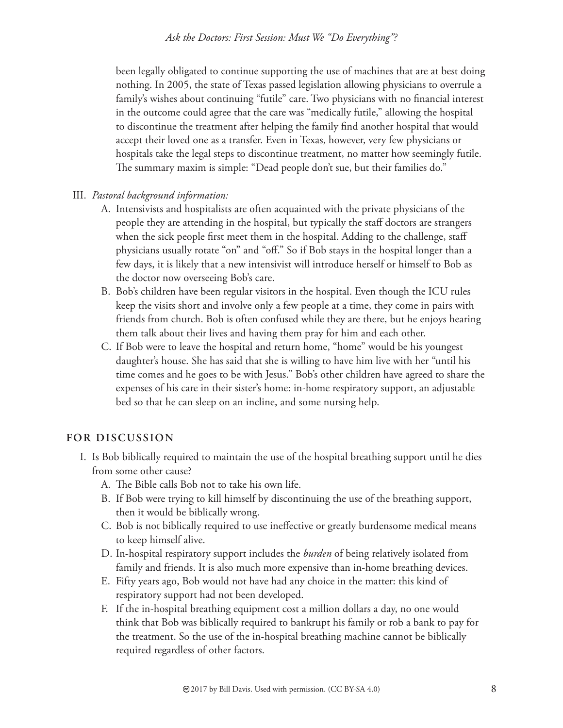been legally obligated to continue supporting the use of machines that are at best doing nothing. In 2005, the state of Texas passed legislation allowing physicians to overrule a family's wishes about continuing "futile" care. Two physicians with no financial interest in the outcome could agree that the care was "medically futile," allowing the hospital to discontinue the treatment after helping the family find another hospital that would accept their loved one as a transfer. Even in Texas, however, very few physicians or hospitals take the legal steps to discontinue treatment, no matter how seemingly futile. The summary maxim is simple: "Dead people don't sue, but their families do."

#### III. *Pastoral background information:*

- A. Intensivists and hospitalists are often acquainted with the private physicians of the people they are attending in the hospital, but typically the staff doctors are strangers when the sick people first meet them in the hospital. Adding to the challenge, staff physicians usually rotate "on" and "off." So if Bob stays in the hospital longer than a few days, it is likely that a new intensivist will introduce herself or himself to Bob as the doctor now overseeing Bob's care.
- B. Bob's children have been regular visitors in the hospital. Even though the ICU rules keep the visits short and involve only a few people at a time, they come in pairs with friends from church. Bob is often confused while they are there, but he enjoys hearing them talk about their lives and having them pray for him and each other.
- C. If Bob were to leave the hospital and return home, "home" would be his youngest daughter's house. She has said that she is willing to have him live with her "until his time comes and he goes to be with Jesus." Bob's other children have agreed to share the expenses of his care in their sister's home: in-home respiratory support, an adjustable bed so that he can sleep on an incline, and some nursing help.

- I. Is Bob biblically required to maintain the use of the hospital breathing support until he dies from some other cause?
	- A. The Bible calls Bob not to take his own life.
	- B. If Bob were trying to kill himself by discontinuing the use of the breathing support, then it would be biblically wrong.
	- C. Bob is not biblically required to use ineffective or greatly burdensome medical means to keep himself alive.
	- D. In-hospital respiratory support includes the *burden* of being relatively isolated from family and friends. It is also much more expensive than in-home breathing devices.
	- E. Fifty years ago, Bob would not have had any choice in the matter: this kind of respiratory support had not been developed.
	- F. If the in-hospital breathing equipment cost a million dollars a day, no one would think that Bob was biblically required to bankrupt his family or rob a bank to pay for the treatment. So the use of the in-hospital breathing machine cannot be biblically required regardless of other factors.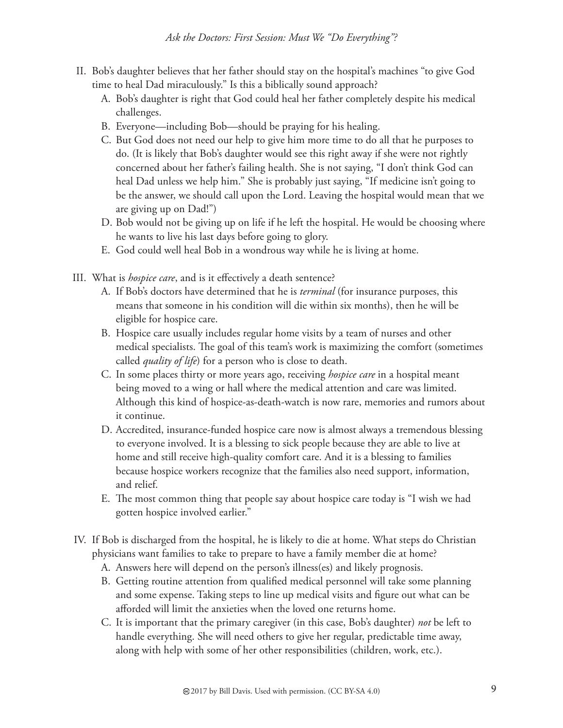- II. Bob's daughter believes that her father should stay on the hospital's machines "to give God time to heal Dad miraculously." Is this a biblically sound approach?
	- A. Bob's daughter is right that God could heal her father completely despite his medical challenges.
	- B. Everyone—including Bob—should be praying for his healing.
	- C. But God does not need our help to give him more time to do all that he purposes to do. (It is likely that Bob's daughter would see this right away if she were not rightly concerned about her father's failing health. She is not saying, "I don't think God can heal Dad unless we help him." She is probably just saying, "If medicine isn't going to be the answer, we should call upon the Lord. Leaving the hospital would mean that we are giving up on Dad!")
	- D. Bob would not be giving up on life if he left the hospital. He would be choosing where he wants to live his last days before going to glory.
	- E. God could well heal Bob in a wondrous way while he is living at home.
- III. What is *hospice care*, and is it effectively a death sentence?
	- A. If Bob's doctors have determined that he is *terminal* (for insurance purposes, this means that someone in his condition will die within six months), then he will be eligible for hospice care.
	- B. Hospice care usually includes regular home visits by a team of nurses and other medical specialists. The goal of this team's work is maximizing the comfort (sometimes called *quality of life*) for a person who is close to death.
	- C. In some places thirty or more years ago, receiving *hospice care* in a hospital meant being moved to a wing or hall where the medical attention and care was limited. Although this kind of hospice-as-death-watch is now rare, memories and rumors about it continue.
	- D. Accredited, insurance-funded hospice care now is almost always a tremendous blessing to everyone involved. It is a blessing to sick people because they are able to live at home and still receive high-quality comfort care. And it is a blessing to families because hospice workers recognize that the families also need support, information, and relief.
	- E. The most common thing that people say about hospice care today is "I wish we had gotten hospice involved earlier."
- IV. If Bob is discharged from the hospital, he is likely to die at home. What steps do Christian physicians want families to take to prepare to have a family member die at home?
	- A. Answers here will depend on the person's illness(es) and likely prognosis.
	- B. Getting routine attention from qualified medical personnel will take some planning and some expense. Taking steps to line up medical visits and figure out what can be afforded will limit the anxieties when the loved one returns home.
	- C. It is important that the primary caregiver (in this case, Bob's daughter) *not* be left to handle everything. She will need others to give her regular, predictable time away, along with help with some of her other responsibilities (children, work, etc.).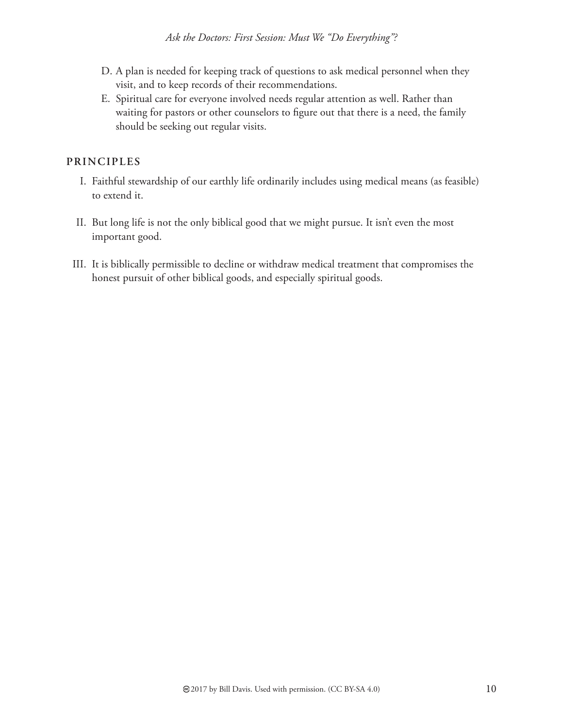- D. A plan is needed for keeping track of questions to ask medical personnel when they visit, and to keep records of their recommendations.
- E. Spiritual care for everyone involved needs regular attention as well. Rather than waiting for pastors or other counselors to figure out that there is a need, the family should be seeking out regular visits.

#### **PRINCIPLES**

- I. Faithful stewardship of our earthly life ordinarily includes using medical means (as feasible) to extend it.
- II. But long life is not the only biblical good that we might pursue. It isn't even the most important good.
- III. It is biblically permissible to decline or withdraw medical treatment that compromises the honest pursuit of other biblical goods, and especially spiritual goods.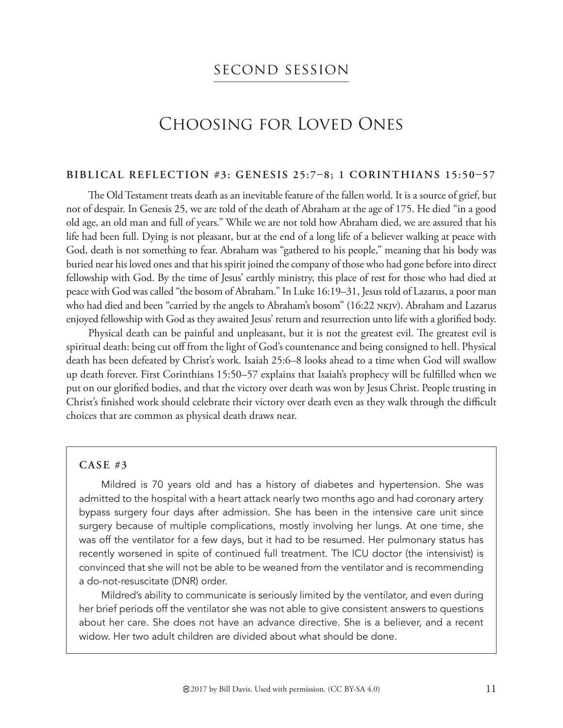### second session

## Choosing for Loved Ones

#### **BIBLICAL REFLECTION #3: GENESIS 25:78; 1 CORINTHIANS 15:5057**

The Old Testament treats death as an inevitable feature of the fallen world. It is a source of grief, but not of despair. In Genesis 25, we are told of the death of Abraham at the age of 175. He died "in a good old age, an old man and full of years." While we are not told how Abraham died, we are assured that his life had been full. Dying is not pleasant, but at the end of a long life of a believer walking at peace with God, death is not something to fear. Abraham was "gathered to his people," meaning that his body was buried near his loved ones and that his spirit joined the company of those who had gone before into direct fellowship with God. By the time of Jesus' earthly ministry, this place of rest for those who had died at peace with God was called "the bosom of Abraham." In Luke 16:19–31, Jesus told of Lazarus, a poor man who had died and been "carried by the angels to Abraham's bosom" (16:22 NKJV). Abraham and Lazarus enjoyed fellowship with God as they awaited Jesus' return and resurrection unto life with a glorified body.

Physical death can be painful and unpleasant, but it is not the greatest evil. The greatest evil is spiritual death: being cut off from the light of God's countenance and being consigned to hell. Physical death has been defeated by Christ's work. Isaiah 25:6–8 looks ahead to a time when God will swallow up death forever. First Corinthians 15:50–57 explains that Isaiah's prophecy will be fulfilled when we put on our glorified bodies, and that the victory over death was won by Jesus Christ. People trusting in Christ's finished work should celebrate their victory over death even as they walk through the difficult choices that are common as physical death draws near.

#### **CASE #3**

Mildred is 70 years old and has a history of diabetes and hypertension. She was admitted to the hospital with a heart attack nearly two months ago and had coronary artery bypass surgery four days after admission. She has been in the intensive care unit since surgery because of multiple complications, mostly involving her lungs. At one time, she was off the ventilator for a few days, but it had to be resumed. Her pulmonary status has recently worsened in spite of continued full treatment. The ICU doctor (the intensivist) is convinced that she will not be able to be weaned from the ventilator and is recommending a do-not-resuscitate (DNR) order.

Mildred's ability to communicate is seriously limited by the ventilator, and even during her brief periods off the ventilator she was not able to give consistent answers to questions about her care. She does not have an advance directive. She is a believer, and a recent widow. Her two adult children are divided about what should be done.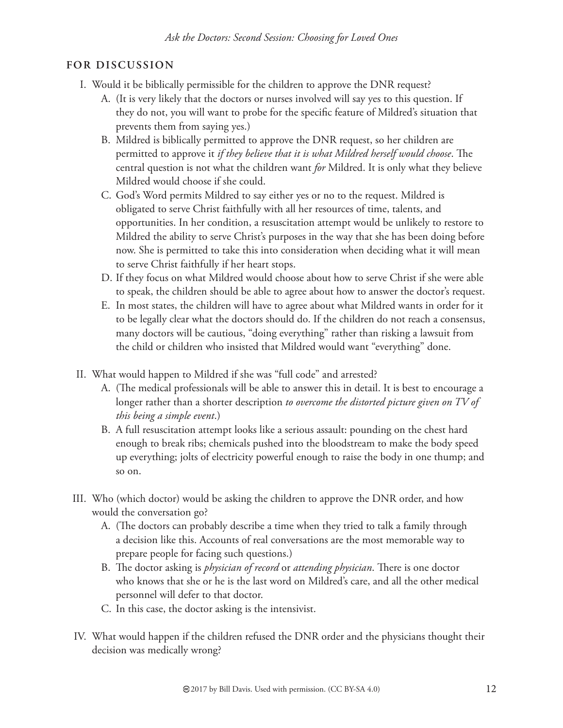- I. Would it be biblically permissible for the children to approve the DNR request?
	- A. (It is very likely that the doctors or nurses involved will say yes to this question. If they do not, you will want to probe for the specific feature of Mildred's situation that prevents them from saying yes.)
	- B. Mildred is biblically permitted to approve the DNR request, so her children are permitted to approve it *if they believe that it is what Mildred herself would choose*. The central question is not what the children want *for* Mildred. It is only what they believe Mildred would choose if she could.
	- C. God's Word permits Mildred to say either yes or no to the request. Mildred is obligated to serve Christ faithfully with all her resources of time, talents, and opportunities. In her condition, a resuscitation attempt would be unlikely to restore to Mildred the ability to serve Christ's purposes in the way that she has been doing before now. She is permitted to take this into consideration when deciding what it will mean to serve Christ faithfully if her heart stops.
	- D. If they focus on what Mildred would choose about how to serve Christ if she were able to speak, the children should be able to agree about how to answer the doctor's request.
	- E. In most states, the children will have to agree about what Mildred wants in order for it to be legally clear what the doctors should do. If the children do not reach a consensus, many doctors will be cautious, "doing everything" rather than risking a lawsuit from the child or children who insisted that Mildred would want "everything" done.
- II. What would happen to Mildred if she was "full code" and arrested?
	- A. (The medical professionals will be able to answer this in detail. It is best to encourage a longer rather than a shorter description *to overcome the distorted picture given on TV of this being a simple event*.)
	- B. A full resuscitation attempt looks like a serious assault: pounding on the chest hard enough to break ribs; chemicals pushed into the bloodstream to make the body speed up everything; jolts of electricity powerful enough to raise the body in one thump; and so on.
- III. Who (which doctor) would be asking the children to approve the DNR order, and how would the conversation go?
	- A. (The doctors can probably describe a time when they tried to talk a family through a decision like this. Accounts of real conversations are the most memorable way to prepare people for facing such questions.)
	- B. The doctor asking is *physician of record* or *attending physician*. There is one doctor who knows that she or he is the last word on Mildred's care, and all the other medical personnel will defer to that doctor.
	- C. In this case, the doctor asking is the intensivist.
- IV. What would happen if the children refused the DNR order and the physicians thought their decision was medically wrong?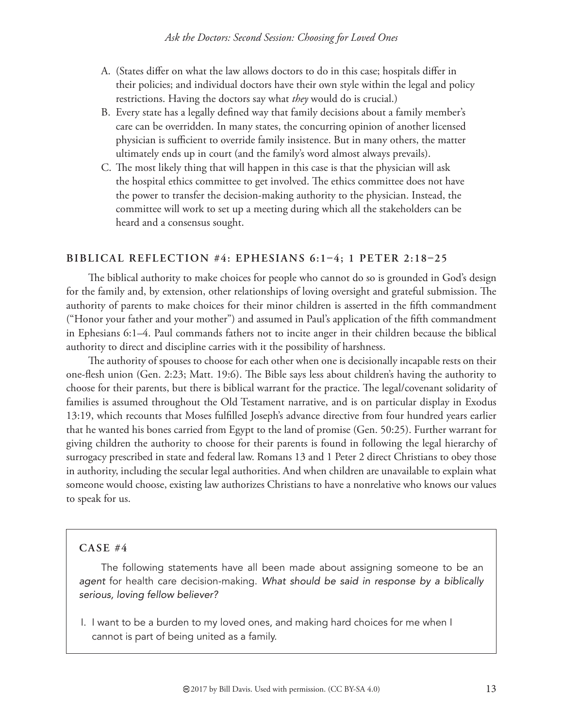- A. (States differ on what the law allows doctors to do in this case; hospitals differ in their policies; and individual doctors have their own style within the legal and policy restrictions. Having the doctors say what *they* would do is crucial.)
- B. Every state has a legally defined way that family decisions about a family member's care can be overridden. In many states, the concurring opinion of another licensed physician is sufficient to override family insistence. But in many others, the matter ultimately ends up in court (and the family's word almost always prevails).
- C. The most likely thing that will happen in this case is that the physician will ask the hospital ethics committee to get involved. The ethics committee does not have the power to transfer the decision-making authority to the physician. Instead, the committee will work to set up a meeting during which all the stakeholders can be heard and a consensus sought.

#### BIBLICAL REFLECTION #4: EPHESIANS 6:1-4; 1 PETER 2:18-25

The biblical authority to make choices for people who cannot do so is grounded in God's design for the family and, by extension, other relationships of loving oversight and grateful submission. The authority of parents to make choices for their minor children is asserted in the fifth commandment ("Honor your father and your mother") and assumed in Paul's application of the fifth commandment in Ephesians 6:1–4. Paul commands fathers not to incite anger in their children because the biblical authority to direct and discipline carries with it the possibility of harshness.

The authority of spouses to choose for each other when one is decisionally incapable rests on their one-flesh union (Gen. 2:23; Matt. 19:6). The Bible says less about children's having the authority to choose for their parents, but there is biblical warrant for the practice. The legal/covenant solidarity of families is assumed throughout the Old Testament narrative, and is on particular display in Exodus 13:19, which recounts that Moses fulfilled Joseph's advance directive from four hundred years earlier that he wanted his bones carried from Egypt to the land of promise (Gen. 50:25). Further warrant for giving children the authority to choose for their parents is found in following the legal hierarchy of surrogacy prescribed in state and federal law. Romans 13 and 1 Peter 2 direct Christians to obey those in authority, including the secular legal authorities. And when children are unavailable to explain what someone would choose, existing law authorizes Christians to have a nonrelative who knows our values to speak for us.

#### **CASE #4**

The following statements have all been made about assigning someone to be an *agent* for health care decision-making. *What should be said in response by a biblically serious, loving fellow believer?*

 I. I want to be a burden to my loved ones, and making hard choices for me when I cannot is part of being united as a family.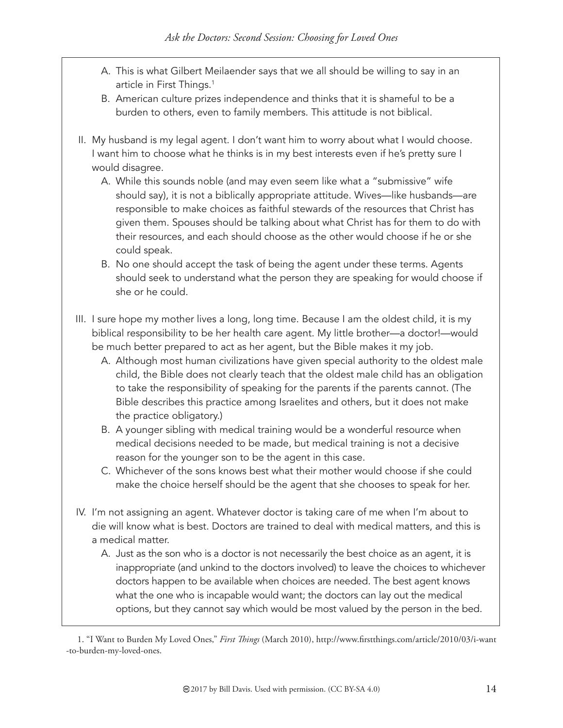- A. This is what Gilbert Meilaender says that we all should be willing to say in an article in First Things.<sup>1</sup>
- B. American culture prizes independence and thinks that it is shameful to be a burden to others, even to family members. This attitude is not biblical.
- II. My husband is my legal agent. I don't want him to worry about what I would choose. I want him to choose what he thinks is in my best interests even if he's pretty sure I would disagree.
	- A. While this sounds noble (and may even seem like what a "submissive" wife should say), it is not a biblically appropriate attitude. Wives—like husbands—are responsible to make choices as faithful stewards of the resources that Christ has given them. Spouses should be talking about what Christ has for them to do with their resources, and each should choose as the other would choose if he or she could speak.
	- B. No one should accept the task of being the agent under these terms. Agents should seek to understand what the person they are speaking for would choose if she or he could.
- III. I sure hope my mother lives a long, long time. Because I am the oldest child, it is my biblical responsibility to be her health care agent. My little brother—a doctor!—would be much better prepared to act as her agent, but the Bible makes it my job.
	- A. Although most human civilizations have given special authority to the oldest male child, the Bible does not clearly teach that the oldest male child has an obligation to take the responsibility of speaking for the parents if the parents cannot. (The Bible describes this practice among Israelites and others, but it does not make the practice obligatory.)
	- B. A younger sibling with medical training would be a wonderful resource when medical decisions needed to be made, but medical training is not a decisive reason for the younger son to be the agent in this case.
	- C. Whichever of the sons knows best what their mother would choose if she could make the choice herself should be the agent that she chooses to speak for her.
- IV. I'm not assigning an agent. Whatever doctor is taking care of me when I'm about to die will know what is best. Doctors are trained to deal with medical matters, and this is a medical matter.
	- A. Just as the son who is a doctor is not necessarily the best choice as an agent, it is inappropriate (and unkind to the doctors involved) to leave the choices to whichever doctors happen to be available when choices are needed. The best agent knows what the one who is incapable would want; the doctors can lay out the medical options, but they cannot say which would be most valued by the person in the bed.

<sup>1. &</sup>quot;I Want to Burden My Loved Ones," *First Things* (March 2010), http://www.firstthings.com/article/2010/03/i-want -to-burden-my-loved-ones.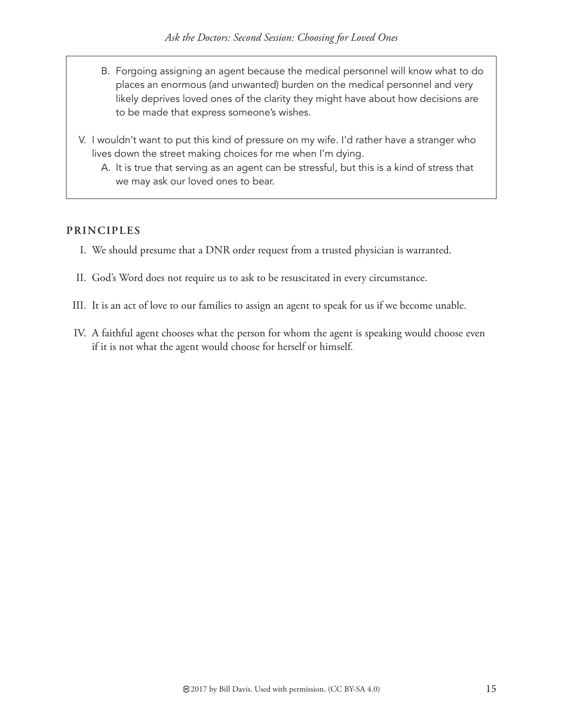- B. Forgoing assigning an agent because the medical personnel will know what to do places an enormous (and unwanted) burden on the medical personnel and very likely deprives loved ones of the clarity they might have about how decisions are to be made that express someone's wishes.
- V. I wouldn't want to put this kind of pressure on my wife. I'd rather have a stranger who lives down the street making choices for me when I'm dying.
	- A. It is true that serving as an agent can be stressful, but this is a kind of stress that we may ask our loved ones to bear.

#### **PRINCIPLES**

- I. We should presume that a DNR order request from a trusted physician is warranted.
- II. God's Word does not require us to ask to be resuscitated in every circumstance.
- III. It is an act of love to our families to assign an agent to speak for us if we become unable.
- IV. A faithful agent chooses what the person for whom the agent is speaking would choose even if it is not what the agent would choose for herself or himself.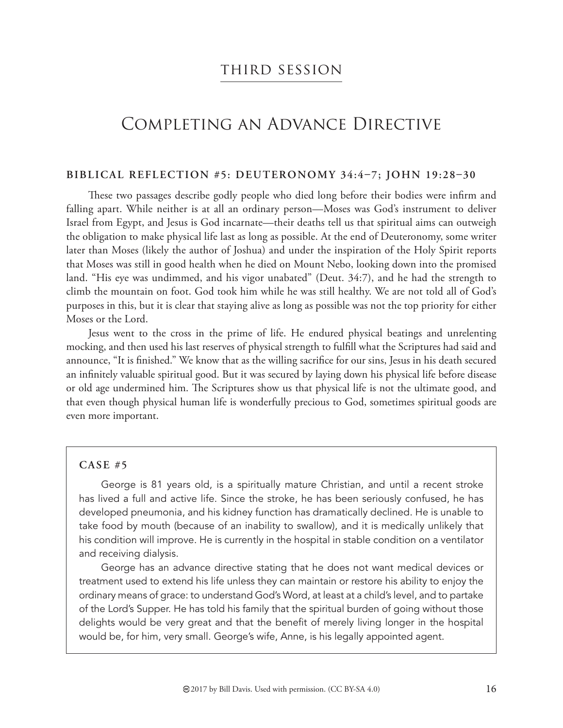### third session

## Completing an Advance Directive

#### BIBLICAL REFLECTION #5: DEUTERONOMY 34:4-7; JOHN 19:28-30

These two passages describe godly people who died long before their bodies were infirm and falling apart. While neither is at all an ordinary person—Moses was God's instrument to deliver Israel from Egypt, and Jesus is God incarnate—their deaths tell us that spiritual aims can outweigh the obligation to make physical life last as long as possible. At the end of Deuteronomy, some writer later than Moses (likely the author of Joshua) and under the inspiration of the Holy Spirit reports that Moses was still in good health when he died on Mount Nebo, looking down into the promised land. "His eye was undimmed, and his vigor unabated" (Deut. 34:7), and he had the strength to climb the mountain on foot. God took him while he was still healthy. We are not told all of God's purposes in this, but it is clear that staying alive as long as possible was not the top priority for either Moses or the Lord.

Jesus went to the cross in the prime of life. He endured physical beatings and unrelenting mocking, and then used his last reserves of physical strength to fulfill what the Scriptures had said and announce, "It is finished." We know that as the willing sacrifice for our sins, Jesus in his death secured an infinitely valuable spiritual good. But it was secured by laying down his physical life before disease or old age undermined him. The Scriptures show us that physical life is not the ultimate good, and that even though physical human life is wonderfully precious to God, sometimes spiritual goods are even more important.

#### **CASE #5**

George is 81 years old, is a spiritually mature Christian, and until a recent stroke has lived a full and active life. Since the stroke, he has been seriously confused, he has developed pneumonia, and his kidney function has dramatically declined. He is unable to take food by mouth (because of an inability to swallow), and it is medically unlikely that his condition will improve. He is currently in the hospital in stable condition on a ventilator and receiving dialysis.

George has an advance directive stating that he does not want medical devices or treatment used to extend his life unless they can maintain or restore his ability to enjoy the ordinary means of grace: to understand God's Word, at least at a child's level, and to partake of the Lord's Supper. He has told his family that the spiritual burden of going without those delights would be very great and that the benefit of merely living longer in the hospital would be, for him, very small. George's wife, Anne, is his legally appointed agent.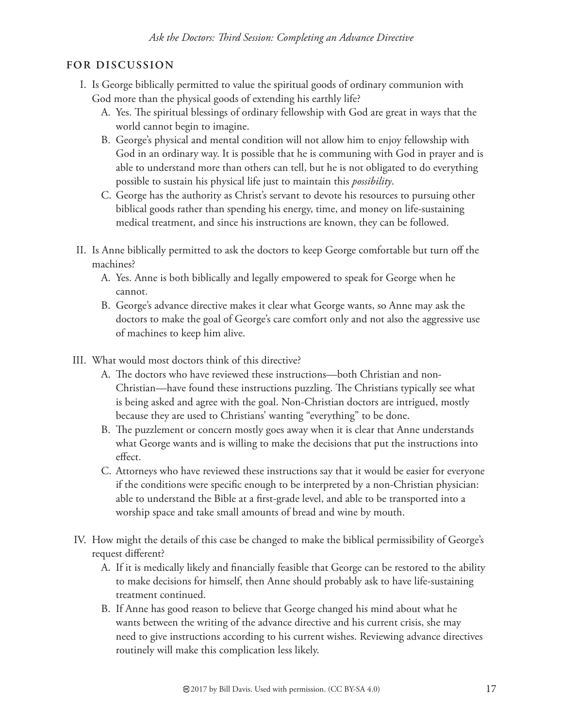- I. Is George biblically permitted to value the spiritual goods of ordinary communion with God more than the physical goods of extending his earthly life?
	- A. Yes. The spiritual blessings of ordinary fellowship with God are great in ways that the world cannot begin to imagine.
	- B. George's physical and mental condition will not allow him to enjoy fellowship with God in an ordinary way. It is possible that he is communing with God in prayer and is able to understand more than others can tell, but he is not obligated to do everything possible to sustain his physical life just to maintain this *possibility*.
	- C. George has the authority as Christ's servant to devote his resources to pursuing other biblical goods rather than spending his energy, time, and money on life-sustaining medical treatment, and since his instructions are known, they can be followed.
- II. Is Anne biblically permitted to ask the doctors to keep George comfortable but turn off the machines?
	- A. Yes. Anne is both biblically and legally empowered to speak for George when he cannot.
	- B. George's advance directive makes it clear what George wants, so Anne may ask the doctors to make the goal of George's care comfort only and not also the aggressive use of machines to keep him alive.
- III. What would most doctors think of this directive?
	- A. The doctors who have reviewed these instructions—both Christian and non-Christian—have found these instructions puzzling. The Christians typically see what is being asked and agree with the goal. Non-Christian doctors are intrigued, mostly because they are used to Christians' wanting "everything" to be done.
	- B. The puzzlement or concern mostly goes away when it is clear that Anne understands what George wants and is willing to make the decisions that put the instructions into effect.
	- C. Attorneys who have reviewed these instructions say that it would be easier for everyone if the conditions were specific enough to be interpreted by a non-Christian physician: able to understand the Bible at a first-grade level, and able to be transported into a worship space and take small amounts of bread and wine by mouth.
- IV. How might the details of this case be changed to make the biblical permissibility of George's request different?
	- A. If it is medically likely and financially feasible that George can be restored to the ability to make decisions for himself, then Anne should probably ask to have life-sustaining treatment continued.
	- B. If Anne has good reason to believe that George changed his mind about what he wants between the writing of the advance directive and his current crisis, she may need to give instructions according to his current wishes. Reviewing advance directives routinely will make this complication less likely.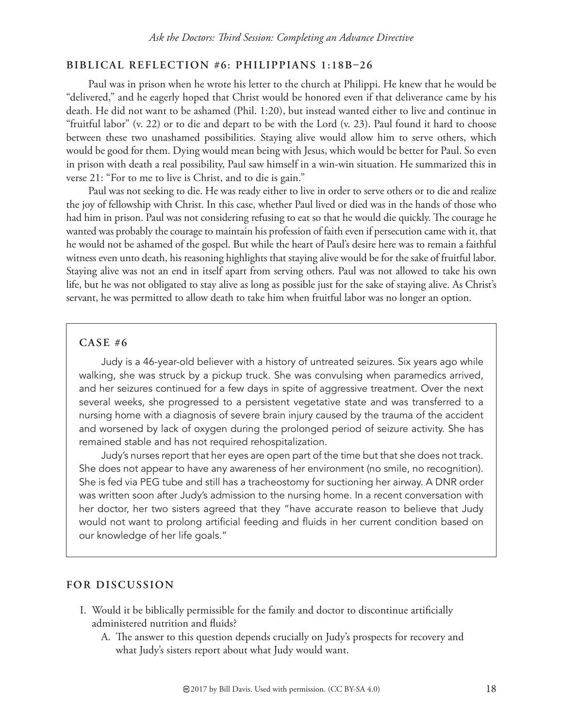#### BIBLICAL REFLECTION #6: PHILIPPIANS 1:18B-26

Paul was in prison when he wrote his letter to the church at Philippi. He knew that he would be "delivered," and he eagerly hoped that Christ would be honored even if that deliverance came by his death. He did not want to be ashamed (Phil. 1:20), but instead wanted either to live and continue in "fruitful labor" (v. 22) or to die and depart to be with the Lord (v. 23). Paul found it hard to choose between these two unashamed possibilities. Staying alive would allow him to serve others, which would be good for them. Dying would mean being with Jesus, which would be better for Paul. So even in prison with death a real possibility, Paul saw himself in a win-win situation. He summarized this in verse 21: "For to me to live is Christ, and to die is gain."

Paul was not seeking to die. He was ready either to live in order to serve others or to die and realize the joy of fellowship with Christ. In this case, whether Paul lived or died was in the hands of those who had him in prison. Paul was not considering refusing to eat so that he would die quickly. The courage he wanted was probably the courage to maintain his profession of faith even if persecution came with it, that he would not be ashamed of the gospel. But while the heart of Paul's desire here was to remain a faithful witness even unto death, his reasoning highlights that staying alive would be for the sake of fruitful labor. Staying alive was not an end in itself apart from serving others. Paul was not allowed to take his own life, but he was not obligated to stay alive as long as possible just for the sake of staying alive. As Christ's servant, he was permitted to allow death to take him when fruitful labor was no longer an option.

#### **CASE #6**

Judy is a 46-year-old believer with a history of untreated seizures. Six years ago while walking, she was struck by a pickup truck. She was convulsing when paramedics arrived, and her seizures continued for a few days in spite of aggressive treatment. Over the next several weeks, she progressed to a persistent vegetative state and was transferred to a nursing home with a diagnosis of severe brain injury caused by the trauma of the accident and worsened by lack of oxygen during the prolonged period of seizure activity. She has remained stable and has not required rehospitalization.

Judy's nurses report that her eyes are open part of the time but that she does not track. She does not appear to have any awareness of her environment (no smile, no recognition). She is fed via PEG tube and still has a tracheostomy for suctioning her airway. A DNR order was written soon after Judy's admission to the nursing home. In a recent conversation with her doctor, her two sisters agreed that they "have accurate reason to believe that Judy would not want to prolong artificial feeding and fluids in her current condition based on our knowledge of her life goals."

- I. Would it be biblically permissible for the family and doctor to discontinue artificially administered nutrition and fluids?
	- A. The answer to this question depends crucially on Judy's prospects for recovery and what Judy's sisters report about what Judy would want.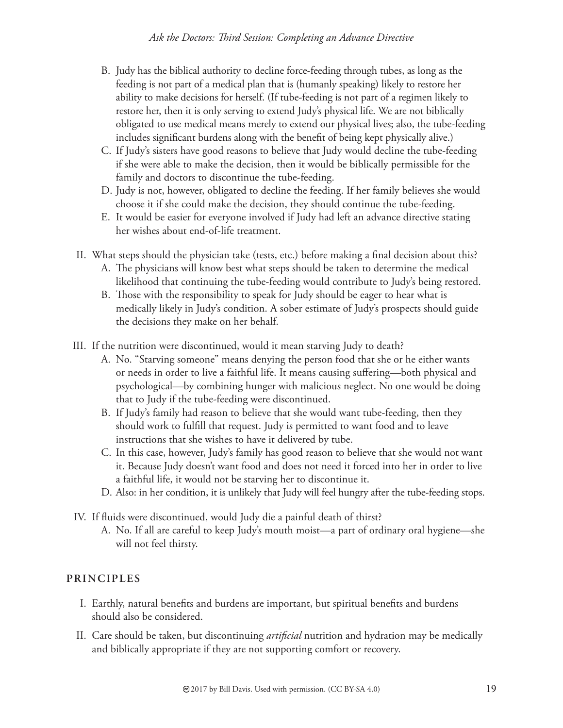- B. Judy has the biblical authority to decline force-feeding through tubes, as long as the feeding is not part of a medical plan that is (humanly speaking) likely to restore her ability to make decisions for herself. (If tube-feeding is not part of a regimen likely to restore her, then it is only serving to extend Judy's physical life. We are not biblically obligated to use medical means merely to extend our physical lives; also, the tube-feeding includes significant burdens along with the benefit of being kept physically alive.)
- C. If Judy's sisters have good reasons to believe that Judy would decline the tube-feeding if she were able to make the decision, then it would be biblically permissible for the family and doctors to discontinue the tube-feeding.
- D. Judy is not, however, obligated to decline the feeding. If her family believes she would choose it if she could make the decision, they should continue the tube-feeding.
- E. It would be easier for everyone involved if Judy had left an advance directive stating her wishes about end-of-life treatment.
- II. What steps should the physician take (tests, etc.) before making a final decision about this?
	- A. The physicians will know best what steps should be taken to determine the medical likelihood that continuing the tube-feeding would contribute to Judy's being restored.
	- B. Those with the responsibility to speak for Judy should be eager to hear what is medically likely in Judy's condition. A sober estimate of Judy's prospects should guide the decisions they make on her behalf.
- III. If the nutrition were discontinued, would it mean starving Judy to death?
	- A. No. "Starving someone" means denying the person food that she or he either wants or needs in order to live a faithful life. It means causing suffering-both physical and psychological—by combining hunger with malicious neglect. No one would be doing that to Judy if the tube-feeding were discontinued.
	- B. If Judy's family had reason to believe that she would want tube-feeding, then they should work to fulfill that request. Judy is permitted to want food and to leave instructions that she wishes to have it delivered by tube.
	- C. In this case, however, Judy's family has good reason to believe that she would not want it. Because Judy doesn't want food and does not need it forced into her in order to live a faithful life, it would not be starving her to discontinue it.
	- D. Also: in her condition, it is unlikely that Judy will feel hungry after the tube-feeding stops.
- IV. If fluids were discontinued, would Judy die a painful death of thirst?
	- A. No. If all are careful to keep Judy's mouth moist—a part of ordinary oral hygiene—she will not feel thirsty.

#### **PRINCIPLES**

- I. Earthly, natural benefits and burdens are important, but spiritual benefits and burdens should also be considered.
- II. Care should be taken, but discontinuing *artificial* nutrition and hydration may be medically and biblically appropriate if they are not supporting comfort or recovery.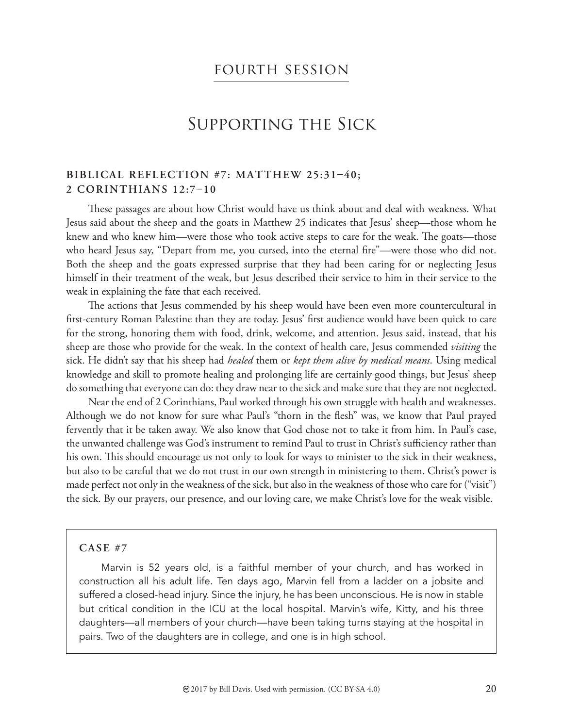### fourth session

## Supporting the Sick

#### BIBLICAL REFLECTION #7: MATTHEW 25:31-40; **2 CORINTHIANS 12:7-10**

These passages are about how Christ would have us think about and deal with weakness. What Jesus said about the sheep and the goats in Matthew 25 indicates that Jesus' sheep—those whom he knew and who knew him—were those who took active steps to care for the weak. The goats—those who heard Jesus say, "Depart from me, you cursed, into the eternal fire"—were those who did not. Both the sheep and the goats expressed surprise that they had been caring for or neglecting Jesus himself in their treatment of the weak, but Jesus described their service to him in their service to the weak in explaining the fate that each received.

The actions that Jesus commended by his sheep would have been even more countercultural in first-century Roman Palestine than they are today. Jesus' first audience would have been quick to care for the strong, honoring them with food, drink, welcome, and attention. Jesus said, instead, that his sheep are those who provide for the weak. In the context of health care, Jesus commended *visiting* the sick. He didn't say that his sheep had *healed* them or *kept them alive by medical means*. Using medical knowledge and skill to promote healing and prolonging life are certainly good things, but Jesus' sheep do something that everyone can do: they draw near to the sick and make sure that they are not neglected.

Near the end of 2 Corinthians, Paul worked through his own struggle with health and weaknesses. Although we do not know for sure what Paul's "thorn in the flesh" was, we know that Paul prayed fervently that it be taken away. We also know that God chose not to take it from him. In Paul's case, the unwanted challenge was God's instrument to remind Paul to trust in Christ's sufficiency rather than his own. This should encourage us not only to look for ways to minister to the sick in their weakness, but also to be careful that we do not trust in our own strength in ministering to them. Christ's power is made perfect not only in the weakness of the sick, but also in the weakness of those who care for ("visit") the sick. By our prayers, our presence, and our loving care, we make Christ's love for the weak visible.

#### **CASE #7**

Marvin is 52 years old, is a faithful member of your church, and has worked in construction all his adult life. Ten days ago, Marvin fell from a ladder on a jobsite and suffered a closed-head injury. Since the injury, he has been unconscious. He is now in stable but critical condition in the ICU at the local hospital. Marvin's wife, Kitty, and his three daughters—all members of your church—have been taking turns staying at the hospital in pairs. Two of the daughters are in college, and one is in high school.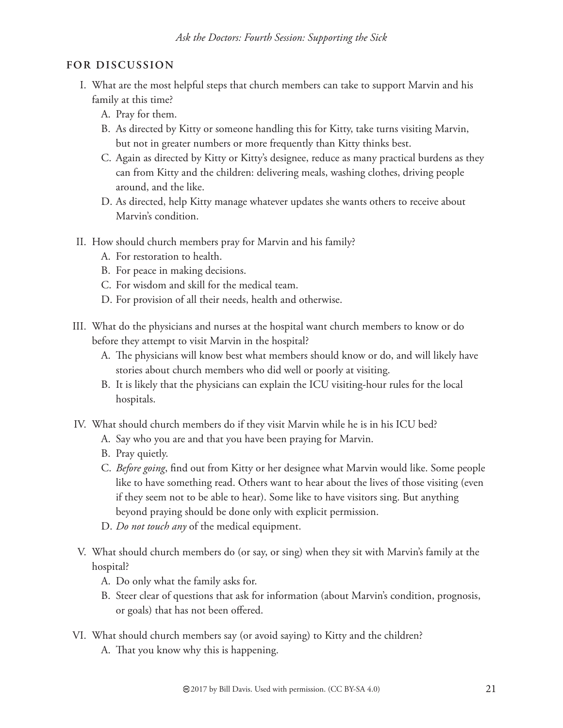- I. What are the most helpful steps that church members can take to support Marvin and his family at this time?
	- A. Pray for them.
	- B. As directed by Kitty or someone handling this for Kitty, take turns visiting Marvin, but not in greater numbers or more frequently than Kitty thinks best.
	- C. Again as directed by Kitty or Kitty's designee, reduce as many practical burdens as they can from Kitty and the children: delivering meals, washing clothes, driving people around, and the like.
	- D. As directed, help Kitty manage whatever updates she wants others to receive about Marvin's condition.
- II. How should church members pray for Marvin and his family?
	- A. For restoration to health.
	- B. For peace in making decisions.
	- C. For wisdom and skill for the medical team.
	- D. For provision of all their needs, health and otherwise.
- III. What do the physicians and nurses at the hospital want church members to know or do before they attempt to visit Marvin in the hospital?
	- A. The physicians will know best what members should know or do, and will likely have stories about church members who did well or poorly at visiting.
	- B. It is likely that the physicians can explain the ICU visiting-hour rules for the local hospitals.
- IV. What should church members do if they visit Marvin while he is in his ICU bed?
	- A. Say who you are and that you have been praying for Marvin.
	- B. Pray quietly.
	- C. *Before going*, find out from Kitty or her designee what Marvin would like. Some people like to have something read. Others want to hear about the lives of those visiting (even if they seem not to be able to hear). Some like to have visitors sing. But anything beyond praying should be done only with explicit permission.
	- D. *Do not touch any* of the medical equipment.
- V. What should church members do (or say, or sing) when they sit with Marvin's family at the hospital?
	- A. Do only what the family asks for.
	- B. Steer clear of questions that ask for information (about Marvin's condition, prognosis, or goals) that has not been offered.
- VI. What should church members say (or avoid saying) to Kitty and the children?
	- A. That you know why this is happening.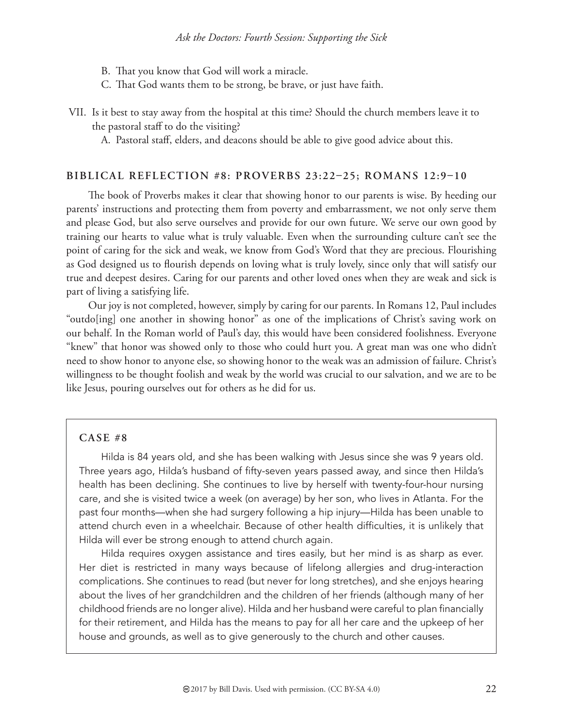- B. That you know that God will work a miracle.
- C. That God wants them to be strong, be brave, or just have faith.
- VII. Is it best to stay away from the hospital at this time? Should the church members leave it to the pastoral staff to do the visiting?
	- A. Pastoral staff, elders, and deacons should be able to give good advice about this.

#### **BIBLICAL REFLECTION #8: PROVERBS 23:22-25; ROMANS 12:9-10**

The book of Proverbs makes it clear that showing honor to our parents is wise. By heeding our parents' instructions and protecting them from poverty and embarrassment, we not only serve them and please God, but also serve ourselves and provide for our own future. We serve our own good by training our hearts to value what is truly valuable. Even when the surrounding culture can't see the point of caring for the sick and weak, we know from God's Word that they are precious. Flourishing as God designed us to flourish depends on loving what is truly lovely, since only that will satisfy our true and deepest desires. Caring for our parents and other loved ones when they are weak and sick is part of living a satisfying life.

Our joy is not completed, however, simply by caring for our parents. In Romans 12, Paul includes "outdo[ing] one another in showing honor" as one of the implications of Christ's saving work on our behalf. In the Roman world of Paul's day, this would have been considered foolishness. Everyone "knew" that honor was showed only to those who could hurt you. A great man was one who didn't need to show honor to anyone else, so showing honor to the weak was an admission of failure. Christ's willingness to be thought foolish and weak by the world was crucial to our salvation, and we are to be like Jesus, pouring ourselves out for others as he did for us.

#### **CASE #8**

Hilda is 84 years old, and she has been walking with Jesus since she was 9 years old. Three years ago, Hilda's husband of fifty-seven years passed away, and since then Hilda's health has been declining. She continues to live by herself with twenty-four-hour nursing care, and she is visited twice a week (on average) by her son, who lives in Atlanta. For the past four months—when she had surgery following a hip injury—Hilda has been unable to attend church even in a wheelchair. Because of other health difficulties, it is unlikely that Hilda will ever be strong enough to attend church again.

Hilda requires oxygen assistance and tires easily, but her mind is as sharp as ever. Her diet is restricted in many ways because of lifelong allergies and drug-interaction complications. She continues to read (but never for long stretches), and she enjoys hearing about the lives of her grandchildren and the children of her friends (although many of her childhood friends are no longer alive). Hilda and her husband were careful to plan financially for their retirement, and Hilda has the means to pay for all her care and the upkeep of her house and grounds, as well as to give generously to the church and other causes.